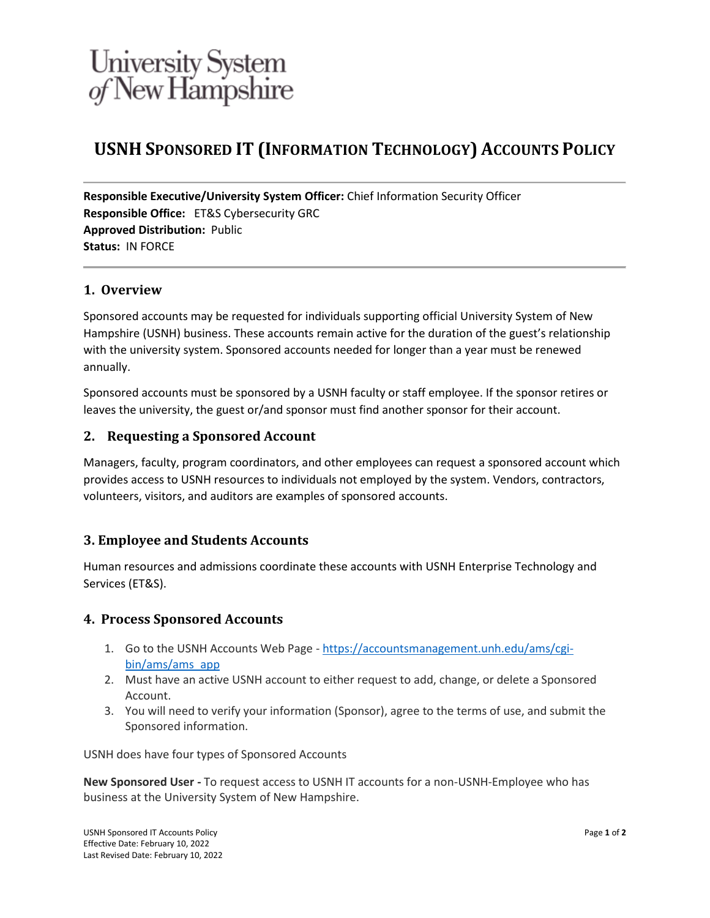## University System<br>of New Hampshire

## **USNH SPONSORED IT (INFORMATION TECHNOLOGY) ACCOUNTS POLICY**

**Responsible Executive/University System Officer:** Chief Information Security Officer **Responsible Office:** ET&S Cybersecurity GRC **Approved Distribution:** Public **Status:** IN FORCE

#### **1. Overview**

Sponsored accounts may be requested for individuals supporting official University System of New Hampshire (USNH) business. These accounts remain active for the duration of the guest's relationship with the university system. Sponsored accounts needed for longer than a year must be renewed annually.

Sponsored accounts must be sponsored by a USNH faculty or staff employee. If the sponsor retires or leaves the university, the guest or/and sponsor must find another sponsor for their account.

#### **2. Requesting a Sponsored Account**

Managers, faculty, program coordinators, and other employees can request a sponsored account which provides access to USNH resources to individuals not employed by the system. Vendors, contractors, volunteers, visitors, and auditors are examples of sponsored accounts.

#### **3. Employee and Students Accounts**

Human resources and admissions coordinate these accounts with USNH Enterprise Technology and Services (ET&S).

#### **4. Process Sponsored Accounts**

- 1. Go to the USNH Accounts Web Page [https://accountsmanagement.unh.edu/ams/cgi](https://accountsmanagement.unh.edu/ams/cgi-bin/ams/ams_app)[bin/ams/ams\\_app](https://accountsmanagement.unh.edu/ams/cgi-bin/ams/ams_app)
- 2. Must have an active USNH account to either request to add, change, or delete a Sponsored Account.
- 3. You will need to verify your information (Sponsor), agree to the terms of use, and submit the Sponsored information.

USNH does have four types of Sponsored Accounts

**New Sponsored User -** To request access to USNH IT accounts for a non-USNH-Employee who has business at the University System of New Hampshire.